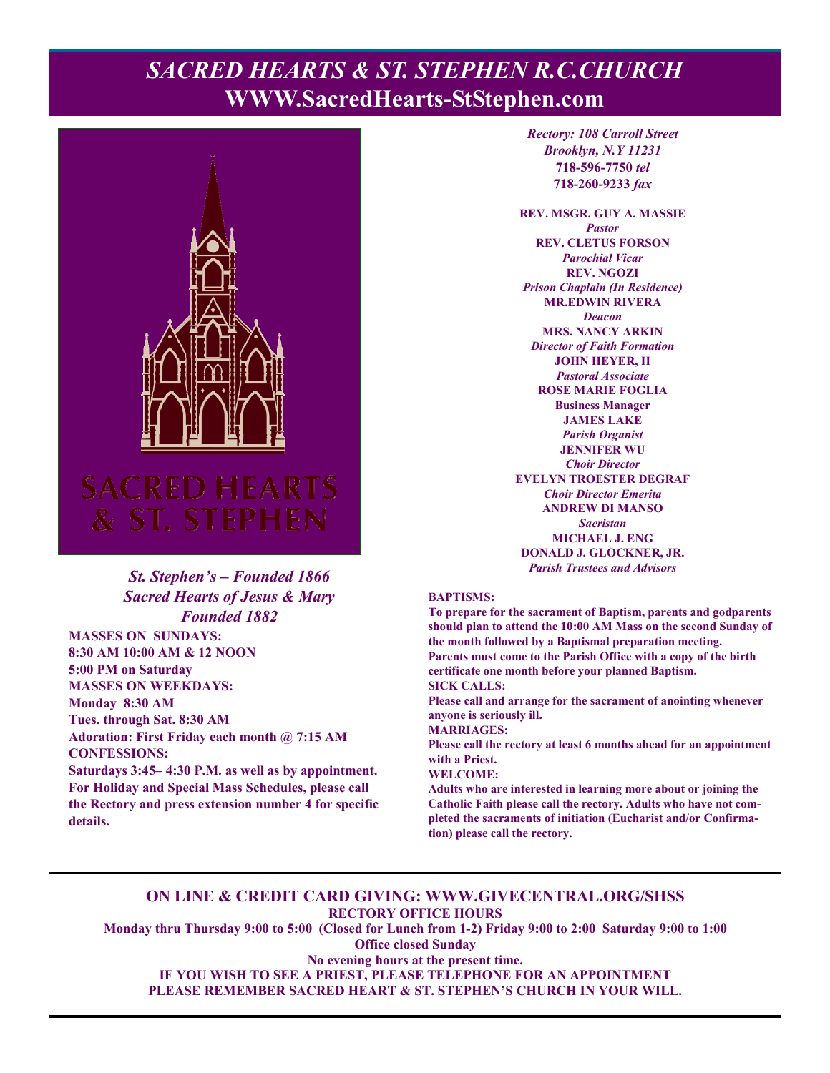# **PACRED HEARTS & ST. STEPHEN R.C.CHURCH WWW.SacredHearts-StStephen.com**



## *St. Stephen's – Founded 1866 Sacred Hearts of Jesus & Mary Founded 1882*

**MASSES ON SUNDAYS: 8:30 AM 10:00 AM & 12 NOON 5:00 PM on Saturday MASSES ON WEEKDAYS: Monday 8:30 AM Tues. through Sat. 8:30 AM Adoration: First Friday each month @ 7:15 AM CONFESSIONS:** 

**Saturdays 3:45– 4:30 P.M. as well as by appointment. For Holiday and Special Mass Schedules, please call the Rectory and press extension number 4 for specific details.**

*Rectory: 108 Carroll Street Brooklyn, N.Y 11231*  **718-596-7750** *tel* **718-260-9233** *fax*

**REV. MSGR. GUY A. MASSIE**  *Pastor*  **REV. CLETUS FORSON**  *Parochial Vicar*  **REV. NGOZI**  *Prison Chaplain (In Residence)*  **MR.EDWIN RIVERA**  *Deacon*  **MRS. NANCY ARKIN**  *Director of Faith Formation*  **JOHN HEYER, II**  *Pastoral Associate*  **ROSE MARIE FOGLIA Business Manager JAMES LAKE**  *Parish Organist*  **JENNIFER WU**  *Choir Director*  **EVELYN TROESTER DEGRAF**  *Choir Director Emerita*  **ANDREW DI MANSO**  *Sacristan*  **MICHAEL J. ENG DONALD J. GLOCKNER, JR.**  *Parish Trustees and Advisors* 

#### **BAPTISMS:**

**To prepare for the sacrament of Baptism, parents and godparents should plan to attend the 10:00 AM Mass on the second Sunday of the month followed by a Baptismal preparation meeting. Parents must come to the Parish Office with a copy of the birth certificate one month before your planned Baptism. SICK CALLS:** 

**Please call and arrange for the sacrament of anointing whenever anyone is seriously ill.** 

**MARRIAGES:** 

**Please call the rectory at least 6 months ahead for an appointment with a Priest.** 

#### **WELCOME:**

**Adults who are interested in learning more about or joining the Catholic Faith please call the rectory. Adults who have not completed the sacraments of initiation (Eucharist and/or Confirmation) please call the rectory.** 

#### **ON LINE & CREDIT CARD GIVING: WWW.GIVECENTRAL.ORG/SHSS RECTORY OFFICE HOURS**

**Monday thru Thursday 9:00 to 5:00 (Closed for Lunch from 1-2) Friday 9:00 to 2:00 Saturday 9:00 to 1:00 Office closed Sunday** 

**No evening hours at the present time. IF YOU WISH TO SEE A PRIEST, PLEASE TELEPHONE FOR AN APPOINTMENT PLEASE REMEMBER SACRED HEART & ST. STEPHEN'S CHURCH IN YOUR WILL.**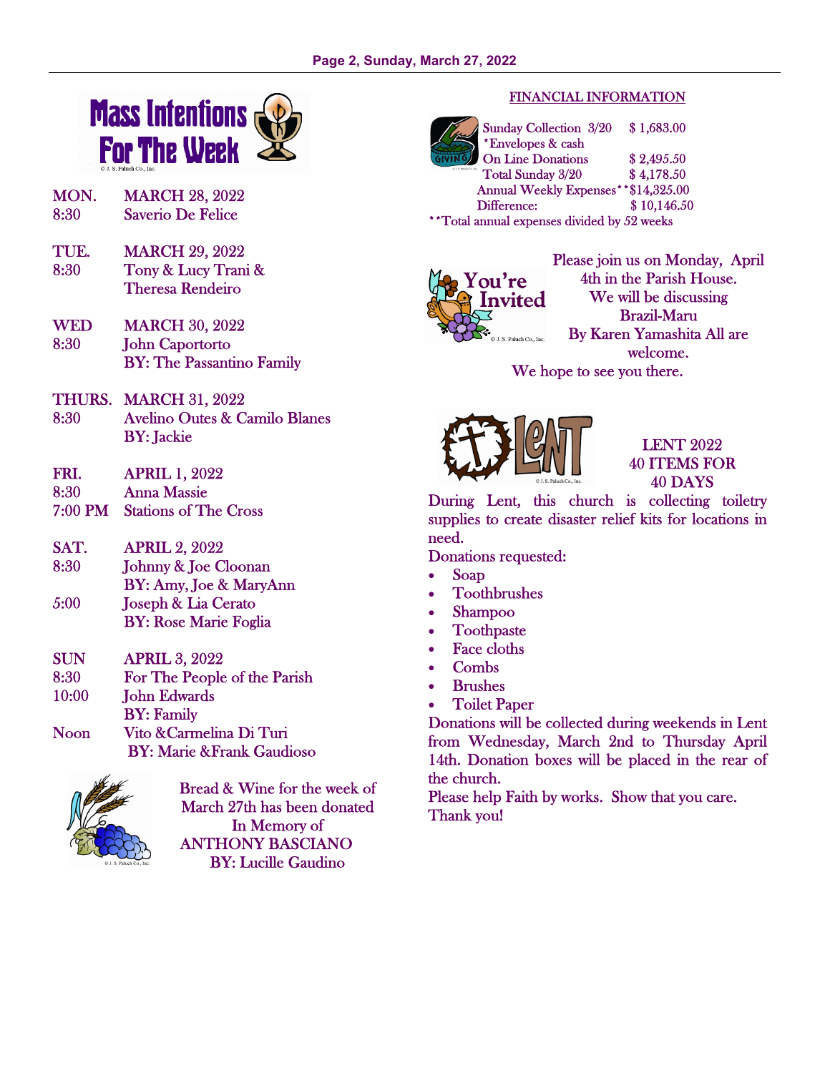

- MON. MARCH 28, 2022 8:30 Saverio De Felice
- TUE. MARCH 29, 2022 8:30 Tony & Lucy Trani & Theresa Rendeiro
- WED MARCH 30, 2022 8:30 John Caportorto BY: The Passantino Family
- THURS. MARCH 31, 2022
- 8:30 Avelino Outes & Camilo Blanes BY: Jackie
- FRI. APRIL 1, 2022
- 8:30 Anna Massie
- 7:00 PM Stations of The Cross
- SAT. APRIL 2, 2022 8:30 Johnny & Joe Cloonan BY: Amy, Joe & MaryAnn 5:00 Joseph & Lia Cerato
- BY: Rose Marie Foglia
- SUN APRIL 3, 2022 8:30 For The People of the Parish
- 10:00 **John Edwards**
- BY: Family Noon Vito &Carmelina Di Turi
- BY: Marie &Frank Gaudioso



Bread & Wine for the week of March 27th has been donated In Memory of ANTHONY BASCIANO BY: Lucille Gaudino

### FINANCIAL INFORMATION

Sunday Collection 3/20 \$ 1,683.00 \*Envelopes & cash On Line Donations \$2,495.50 Total Sunday 3/20 \$ 4,178.50 Annual Weekly Expenses\*\*\$14,325.00 Difference: \$ 10,146.50 \*\*Total annual expenses divided by 52 weeks



Please join us on Monday, April 4th in the Parish House. We will be discussing Brazil-Maru By Karen Yamashita All are welcome.

We hope to see you there.



## LENT 2022 40 ITEMS FOR 40 DAYS

During Lent, this church is collecting toiletry supplies to create disaster relief kits for locations in need.

Donations requested:

- Soap
- Toothbrushes
- Shampoo
- Toothpaste
- **Face cloths**
- Combs
- **Brushes**
- Toilet Paper

Donations will be collected during weekends in Lent from Wednesday, March 2nd to Thursday April 14th. Donation boxes will be placed in the rear of the church.

Please help Faith by works. Show that you care. Thank you!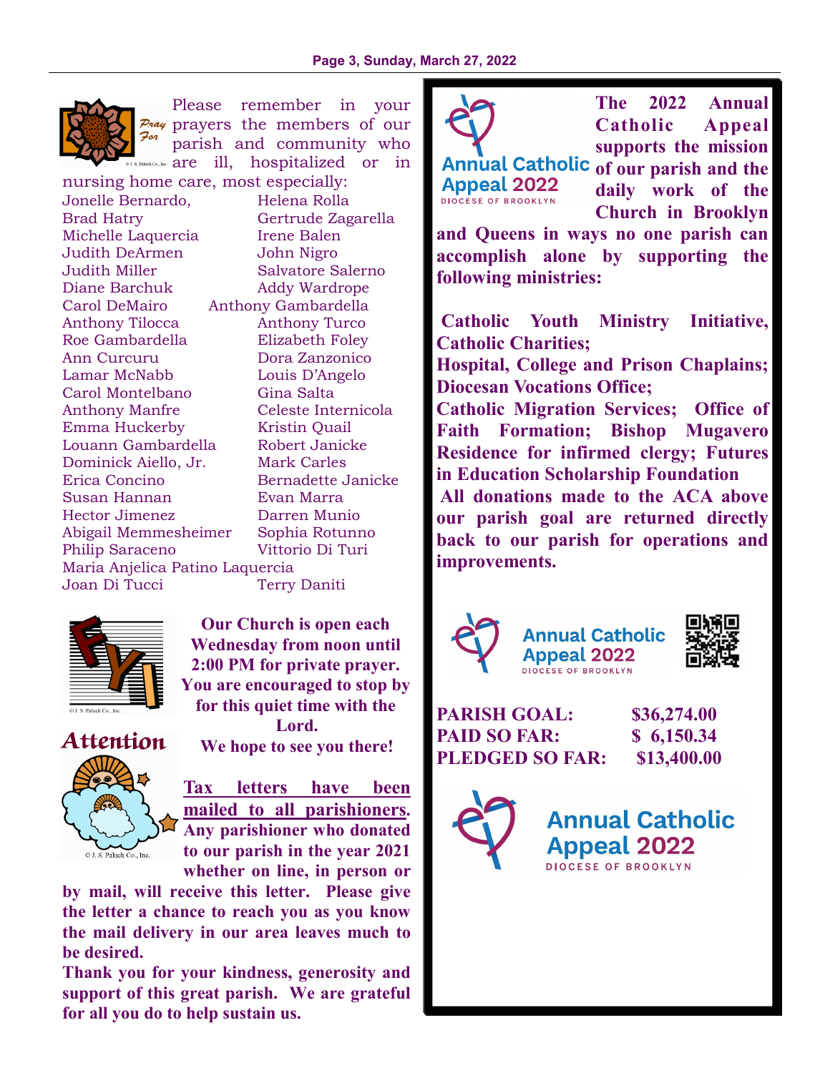

Please remember in your  $P_{\text{max}}$  prayers the members of our For parish and community who  $s$ . Paluch Co., Inc.  $\arctan\frac{1}{2}$  are ill, hospitalized or in

nursing home care, most especially: Jonelle Bernardo, Helena Rolla Brad Hatry Gertrude Zagarella Michelle Laquercia liene Balen Judith DeArmen John Nigro Judith Miller Salvatore Salerno Diane Barchuk Addy Wardrope Carol DeMairo Anthony Gambardella Anthony Tilocca Anthony Turco Roe Gambardella Elizabeth Foley Ann Curcuru Dora Zanzonico Lamar McNabb Louis D'Angelo Carol Montelbano Gina Salta Anthony Manfre Celeste Internicola Emma Huckerby Kristin Quail Louann Gambardella Robert Janicke Dominick Aiello, Jr. Mark Carles Erica Concino Bernadette Janicke Susan Hannan Evan Marra Hector Jimenez Darren Munio Abigail Memmesheimer Sophia Rotunno Philip Saraceno Vittorio Di Turi Maria Anjelica Patino Laquercia Joan Di Tucci Terry Daniti



**Our Church is open each Wednesday from noon until 2:00 PM for private prayer. You are encouraged to stop by for this quiet time with the Lord.** 

**Attention We hope to see you there!** 



**Tax letters have been mailed to all parishioners. Any parishioner who donated to our parish in the year 2021 whether on line, in person or** 

**by mail, will receive this letter. Please give the letter a chance to reach you as you know the mail delivery in our area leaves much to be desired.** 

**Thank you for your kindness, generosity and support of this great parish. We are grateful for all you do to help sustain us.** 



Annual Catholic of our parish and the **Appeal 2022 DIOCESE OF BROOKLYN** 

**The 2022 Annual Catholic Appeal supports the mission** 

**daily work of the Church in Brooklyn** 

**and Queens in ways no one parish can accomplish alone by supporting the following ministries:** 

 **Catholic Youth Ministry Initiative, Catholic Charities;** 

**Hospital, College and Prison Chaplains; Diocesan Vocations Office;** 

**Catholic Migration Services; Office of Faith Formation; Bishop Mugavero Residence for infirmed clergy; Futures in Education Scholarship Foundation** 

 **All donations made to the ACA above our parish goal are returned directly back to our parish for operations and improvements.** 







**PARISH GOAL: \$36,274.00 PAID SO FAR: \$ 6,150.34 PLEDGED SO FAR: \$13,400.00** 

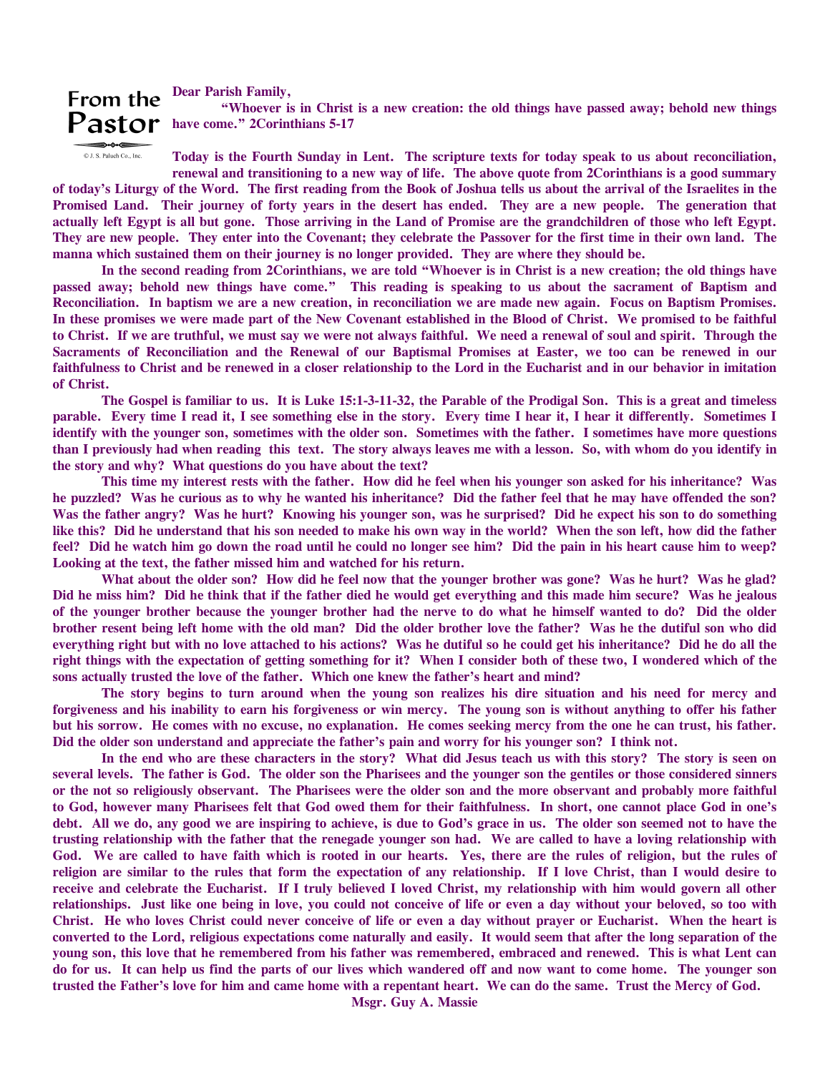# From the Dear Parish Family,

 **"Whoever is in Christ is a new creation: the old things have passed away; behold new things**  Pastor have come." 2Corinthians 5-17

© J. S. Paluch Co., Inc.

**Today is the Fourth Sunday in Lent. The scripture texts for today speak to us about reconciliation, renewal and transitioning to a new way of life. The above quote from 2Corinthians is a good summary** 

**of today's Liturgy of the Word. The first reading from the Book of Joshua tells us about the arrival of the Israelites in the Promised Land. Their journey of forty years in the desert has ended. They are a new people. The generation that actually left Egypt is all but gone. Those arriving in the Land of Promise are the grandchildren of those who left Egypt. They are new people. They enter into the Covenant; they celebrate the Passover for the first time in their own land. The manna which sustained them on their journey is no longer provided. They are where they should be.** 

 **In the second reading from 2Corinthians, we are told "Whoever is in Christ is a new creation; the old things have passed away; behold new things have come." This reading is speaking to us about the sacrament of Baptism and Reconciliation. In baptism we are a new creation, in reconciliation we are made new again. Focus on Baptism Promises. In these promises we were made part of the New Covenant established in the Blood of Christ. We promised to be faithful to Christ. If we are truthful, we must say we were not always faithful. We need a renewal of soul and spirit. Through the Sacraments of Reconciliation and the Renewal of our Baptismal Promises at Easter, we too can be renewed in our faithfulness to Christ and be renewed in a closer relationship to the Lord in the Eucharist and in our behavior in imitation of Christ.** 

 **The Gospel is familiar to us. It is Luke 15:1-3-11-32, the Parable of the Prodigal Son. This is a great and timeless parable. Every time I read it, I see something else in the story. Every time I hear it, I hear it differently. Sometimes I identify with the younger son, sometimes with the older son. Sometimes with the father. I sometimes have more questions than I previously had when reading this text. The story always leaves me with a lesson. So, with whom do you identify in the story and why? What questions do you have about the text?** 

 **This time my interest rests with the father. How did he feel when his younger son asked for his inheritance? Was he puzzled? Was he curious as to why he wanted his inheritance? Did the father feel that he may have offended the son?**  Was the father angry? Was he hurt? Knowing his younger son, was he surprised? Did he expect his son to do something **like this? Did he understand that his son needed to make his own way in the world? When the son left, how did the father feel? Did he watch him go down the road until he could no longer see him? Did the pain in his heart cause him to weep? Looking at the text, the father missed him and watched for his return.** 

 **What about the older son? How did he feel now that the younger brother was gone? Was he hurt? Was he glad? Did he miss him? Did he think that if the father died he would get everything and this made him secure? Was he jealous of the younger brother because the younger brother had the nerve to do what he himself wanted to do? Did the older brother resent being left home with the old man? Did the older brother love the father? Was he the dutiful son who did everything right but with no love attached to his actions? Was he dutiful so he could get his inheritance? Did he do all the right things with the expectation of getting something for it? When I consider both of these two, I wondered which of the sons actually trusted the love of the father. Which one knew the father's heart and mind?** 

 **The story begins to turn around when the young son realizes his dire situation and his need for mercy and forgiveness and his inability to earn his forgiveness or win mercy. The young son is without anything to offer his father but his sorrow. He comes with no excuse, no explanation. He comes seeking mercy from the one he can trust, his father. Did the older son understand and appreciate the father's pain and worry for his younger son? I think not.** 

 **In the end who are these characters in the story? What did Jesus teach us with this story? The story is seen on several levels. The father is God. The older son the Pharisees and the younger son the gentiles or those considered sinners or the not so religiously observant. The Pharisees were the older son and the more observant and probably more faithful to God, however many Pharisees felt that God owed them for their faithfulness. In short, one cannot place God in one's debt. All we do, any good we are inspiring to achieve, is due to God's grace in us. The older son seemed not to have the trusting relationship with the father that the renegade younger son had. We are called to have a loving relationship with**  God. We are called to have faith which is rooted in our hearts. Yes, there are the rules of religion, but the rules of **religion are similar to the rules that form the expectation of any relationship. If I love Christ, than I would desire to receive and celebrate the Eucharist. If I truly believed I loved Christ, my relationship with him would govern all other relationships. Just like one being in love, you could not conceive of life or even a day without your beloved, so too with Christ. He who loves Christ could never conceive of life or even a day without prayer or Eucharist. When the heart is converted to the Lord, religious expectations come naturally and easily. It would seem that after the long separation of the young son, this love that he remembered from his father was remembered, embraced and renewed. This is what Lent can do for us. It can help us find the parts of our lives which wandered off and now want to come home. The younger son trusted the Father's love for him and came home with a repentant heart. We can do the same. Trust the Mercy of God.** 

**Msgr. Guy A. Massie**